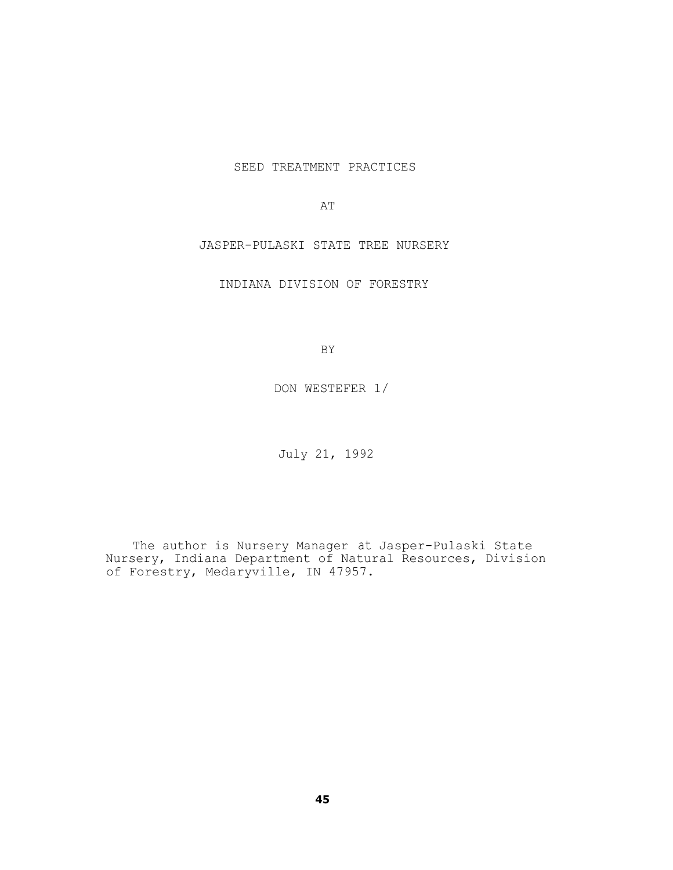SEED TREATMENT PRACTICES

AT

JASPER-PULASKI STATE TREE NURSERY

INDIANA DIVISION OF FORESTRY

BY

DON WESTEFER 1/

July 21, 1992

The author is Nursery Manager at Jasper-Pulaski State Nursery, Indiana Department of Natural Resources, Division of Forestry, Medaryville, IN 47957.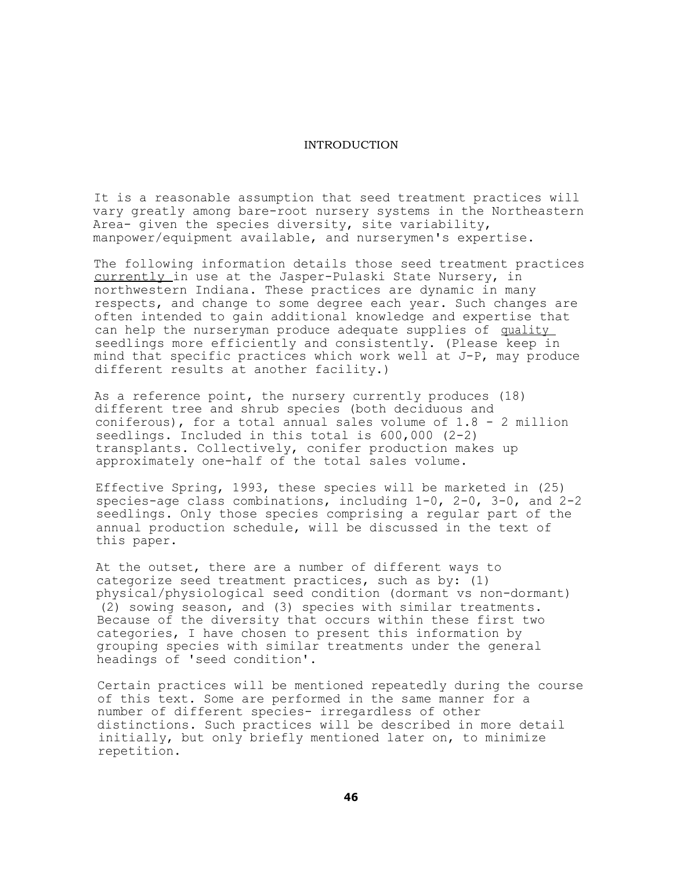## INTRODUCTION

It is a reasonable assumption that seed treatment practices will vary greatly among bare-root nursery systems in the Northeastern Area- given the species diversity, site variability, manpower/equipment available, and nurserymen's expertise.

The following information details those seed treatment practices currently in use at the Jasper-Pulaski State Nursery, in northwestern Indiana. These practices are dynamic in many respects, and change to some degree each year. Such changes are often intended to gain additional knowledge and expertise that can help the nurseryman produce adequate supplies of quality seedlings more efficiently and consistently. (Please keep in mind that specific practices which work well at J-P, may produce different results at another facility.)

As a reference point, the nursery currently produces (18) different tree and shrub species (both deciduous and coniferous), for a total annual sales volume of 1.8 - 2 million seedlings. Included in this total is 600,000 (2-2) transplants. Collectively, conifer production makes up approximately one-half of the total sales volume.

Effective Spring, 1993, these species will be marketed in (25) species-age class combinations, including 1-0, 2-0, 3-0, and 2-2 seedlings. Only those species comprising a regular part of the annual production schedule, will be discussed in the text of this paper.

At the outset, there are a number of different ways to categorize seed treatment practices, such as by: (1) physical/physiological seed condition (dormant vs non-dormant) (2) sowing season, and (3) species with similar treatments. Because of the diversity that occurs within these first two categories, I have chosen to present this information by grouping species with similar treatments under the general headings of 'seed condition'.

Certain practices will be mentioned repeatedly during the course of this text. Some are performed in the same manner for a number of different species- irregardless of other distinctions. Such practices will be described in more detail initially, but only briefly mentioned later on, to minimize repetition.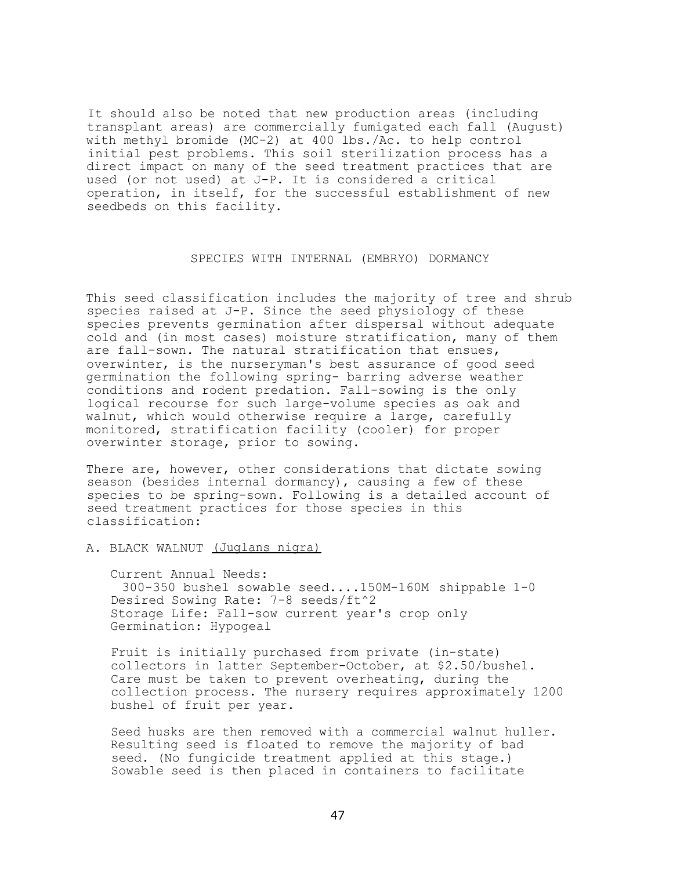It should also be noted that new production areas (including transplant areas) are commercially fumigated each fall (August) with methyl bromide (MC-2) at 400 lbs./Ac. to help control initial pest problems. This soil sterilization process has a direct impact on many of the seed treatment practices that are used (or not used) at J-P. It is considered a critical operation, in itself, for the successful establishment of new seedbeds on this facility.

## SPECIES WITH INTERNAL (EMBRYO) DORMANCY

This seed classification includes the majority of tree and shrub species raised at J-P. Since the seed physiology of these species prevents germination after dispersal without adequate cold and (in most cases) moisture stratification, many of them are fall-sown. The natural stratification that ensues, overwinter, is the nurseryman's best assurance of good seed germination the following spring- barring adverse weather conditions and rodent predation. Fall-sowing is the only logical recourse for such large-volume species as oak and walnut, which would otherwise require a large, carefully monitored, stratification facility (cooler) for proper overwinter storage, prior to sowing.

There are, however, other considerations that dictate sowing season (besides internal dormancy), causing a few of these species to be spring-sown. Following is a detailed account of seed treatment practices for those species in this classification:

A. BLACK WALNUT (Juglans nigra)

Current Annual Needs: 300-350 bushel sowable seed....150M-160M shippable 1-0 Desired Sowing Rate: 7-8 seeds/ft^2 Storage Life: Fall-sow current year's crop only Germination: Hypogeal

Fruit is initially purchased from private (in-state) collectors in latter September-October, at \$2.50/bushel. Care must be taken to prevent overheating, during the collection process. The nursery requires approximately 1200 bushel of fruit per year.

Seed husks are then removed with a commercial walnut huller. Resulting seed is floated to remove the majority of bad seed. (No fungicide treatment applied at this stage.) Sowable seed is then placed in containers to facilitate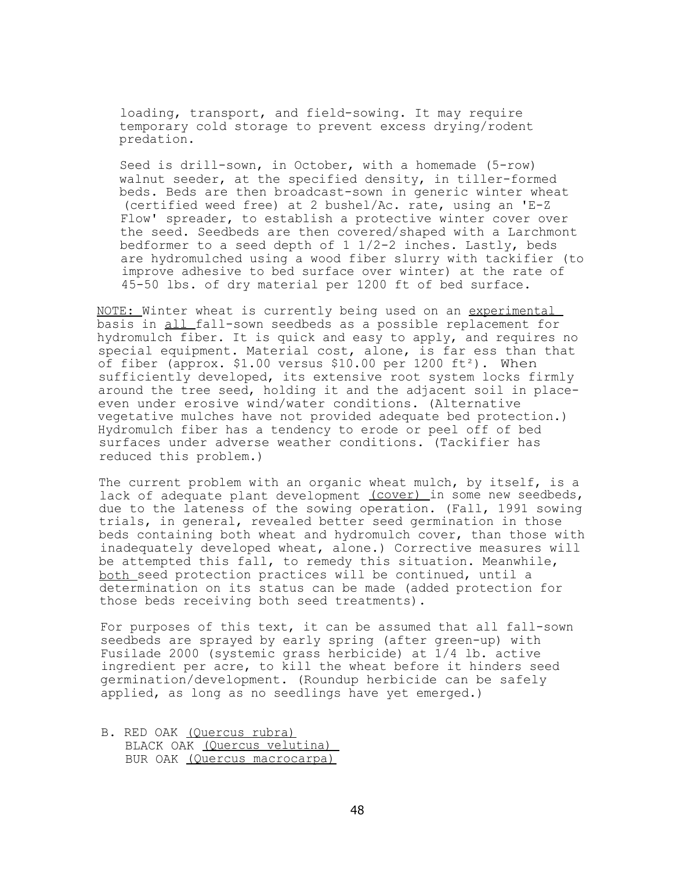loading, transport, and field-sowing. It may require temporary cold storage to prevent excess drying/rodent predation.

Seed is drill-sown, in October, with a homemade (5-row) walnut seeder, at the specified density, in tiller-formed beds. Beds are then broadcast-sown in generic winter wheat (certified weed free) at 2 bushel/Ac. rate, using an 'E-Z Flow' spreader, to establish a protective winter cover over the seed. Seedbeds are then covered/shaped with a Larchmont bedformer to a seed depth of 1 1/2-2 inches. Lastly, beds are hydromulched using a wood fiber slurry with tackifier (to improve adhesive to bed surface over winter) at the rate of 45-50 lbs. of dry material per 1200 ft of bed surface.

NOTE: Winter wheat is currently being used on an experimental basis in all fall-sown seedbeds as a possible replacement for hydromulch fiber. It is quick and easy to apply, and requires no special equipment. Material cost, alone, is far ess than that of fiber (approx.  $$1.00$  versus  $$10.00$  per  $1200$  ft<sup>2</sup>). When sufficiently developed, its extensive root system locks firmly around the tree seed, holding it and the adjacent soil in placeeven under erosive wind/water conditions. (Alternative vegetative mulches have not provided adequate bed protection.) Hydromulch fiber has a tendency to erode or peel off of bed surfaces under adverse weather conditions. (Tackifier has reduced this problem.)

The current problem with an organic wheat mulch, by itself, is a lack of adequate plant development (cover) in some new seedbeds, due to the lateness of the sowing operation. (Fall, 1991 sowing trials, in general, revealed better seed germination in those beds containing both wheat and hydromulch cover, than those with inadequately developed wheat, alone.) Corrective measures will be attempted this fall, to remedy this situation. Meanwhile, both seed protection practices will be continued, until a determination on its status can be made (added protection for those beds receiving both seed treatments).

For purposes of this text, it can be assumed that all fall-sown seedbeds are sprayed by early spring (after green-up) with Fusilade 2000 (systemic grass herbicide) at 1/4 lb. active ingredient per acre, to kill the wheat before it hinders seed germination/development. (Roundup herbicide can be safely applied, as long as no seedlings have yet emerged.)

B. RED OAK (Quercus rubra) BLACK OAK (Quercus velutina) BUR OAK (Quercus macrocarpa)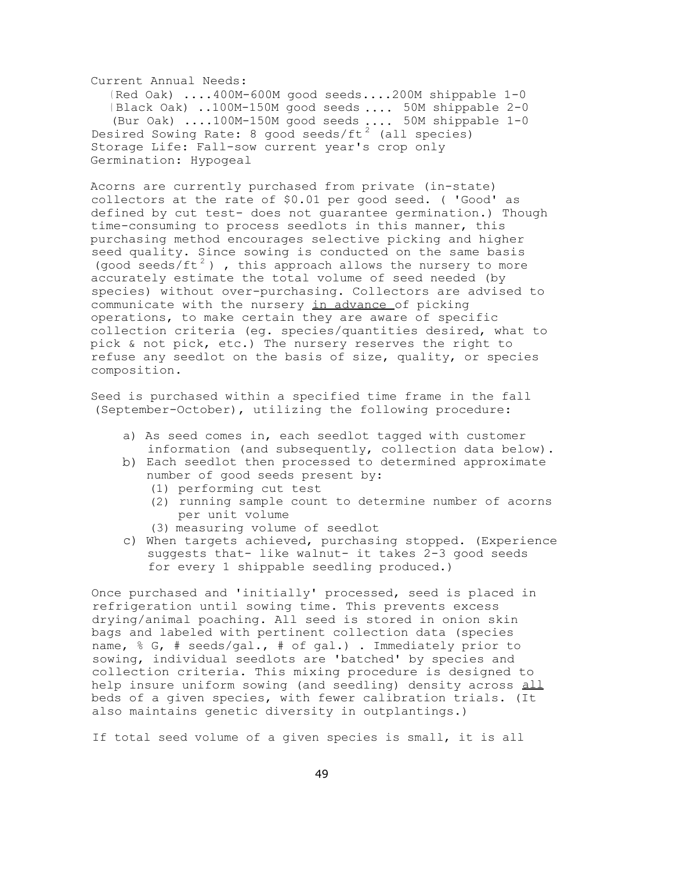Current Annual Needs:

( Red Oak) ....400M-600M good seeds....200M shippable 1-0 ( Black Oak) ..100M-150M good seeds .... 50M shippable 2-0 (Bur Oak) ....100M-150M good seeds .... 50M shippable 1-0 Desired Sowing Rate: 8 good seeds/ft<sup>2</sup> (all species) Storage Life: Fall-sow current year's crop only Germination: Hypogeal

Acorns are currently purchased from private (in-state) collectors at the rate of \$0.01 per good seed. ( 'Good' as defined by cut test- does not guarantee germination.) Though time-consuming to process seedlots in this manner, this purchasing method encourages selective picking and higher seed quality. Since sowing is conducted on the same basis (good seeds/ft<sup>2</sup>), this approach allows the nursery to more accurately estimate the total volume of seed needed (by species) without over-purchasing. Collectors are advised to communicate with the nursery in advance of picking operations, to make certain they are aware of specific collection criteria (eg. species/quantities desired, what to pick & not pick, etc.) The nursery reserves the right to refuse any seedlot on the basis of size, quality, or species composition.

Seed is purchased within a specified time frame in the fall (September-October), utilizing the following procedure:

- a) As seed comes in, each seedlot tagged with customer information (and subsequently, collection data below).
- b) Each seedlot then processed to determined approximate number of good seeds present by:
	- (1) performing cut test
	- (2) running sample count to determine number of acorns per unit volume
	- (3) measuring volume of seedlot
- c) When targets achieved, purchasing stopped. (Experience suggests that- like walnut- it takes 2-3 good seeds for every 1 shippable seedling produced.)

Once purchased and 'initially' processed, seed is placed in refrigeration until sowing time. This prevents excess drying/animal poaching. All seed is stored in onion skin bags and labeled with pertinent collection data (species name, % G, # seeds/gal., # of gal.) . Immediately prior to sowing, individual seedlots are 'batched' by species and collection criteria. This mixing procedure is designed to help insure uniform sowing (and seedling) density across all beds of a given species, with fewer calibration trials. (It also maintains genetic diversity in outplantings.)

If total seed volume of a given species is small, it is all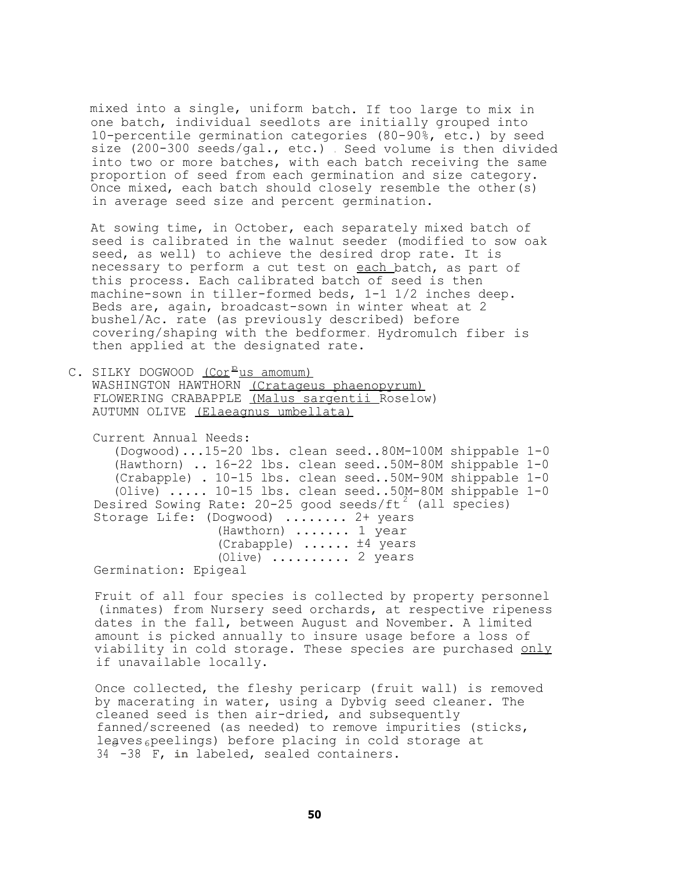mixed into a single, uniform batch. If too large to mix in one batch, individual seedlots are initially grouped into 10-percentile germination categories (80-90%, etc.) by seed size (200-300 seeds/gal., etc.) . Seed volume is then divided into two or more batches, with each batch receiving the same proportion of seed from each germination and size category. Once mixed, each batch should closely resemble the other(s) in average seed size and percent germination.

At sowing time, in October, each separately mixed batch of seed is calibrated in the walnut seeder (modified to sow oak seed, as well) to achieve the desired drop rate. It is necessary to perform a cut test on each batch, as part of this process. Each calibrated batch of seed is then machine-sown in tiller-formed beds, 1-1 1/2 inches deep. Beds are, again, broadcast-sown in winter wheat at 2 bushel/Ac. rate (as previously described) before covering/shaping with the bedformer. Hydromulch fiber is then applied at the designated rate.

C. SILKY DOGWOOD <u>(Cor<sup>p</sup>us amomum)</u> WASHINGTON HAWTHORN (Cratageus phaenopyrum) FLOWERING CRABAPPLE (Malus sargentii Roselow) AUTUMN OLIVE (Elaeagnus umbellata)

Current Annual Needs: (Dogwood)...15-20 lbs. clean seed..80M-100M shippable 1-0 (Hawthorn) .. 16-22 lbs. clean seed..50M-80M shippable 1-0 (Crabapple) . 10-15 lbs. clean seed..50M-90M shippable 1-0 (Olive) ..... 10-15 lbs. clean seed..50M-80M shippable 1-0 Desired Sowing Rate:  $20-25$  good seeds/ft<sup>2</sup> (all species) Storage Life: (Dogwood) ........ 2+ years (Hawthorn) ....... 1 year (Crabapple) ...... ±4 years (Olive) .......... 2 years Germination: Epigeal

Fruit of all four species is collected by property personnel (inmates) from Nursery seed orchards, at respective ripeness dates in the fall, between August and November. A limited amount is picked annually to insure usage before a loss of viability in cold storage. These species are purchased only if unavailable locally.

Once collected, the fleshy pericarp (fruit wall) is removed by macerating in water, using a Dybvig seed cleaner. The cleaned seed is then air-dried, and subsequently fanned/screened (as needed) to remove impurities (sticks, leaves<sub>6</sub>peelings) before placing in cold storage at 34 -38 F, **in** labeled, sealed containers.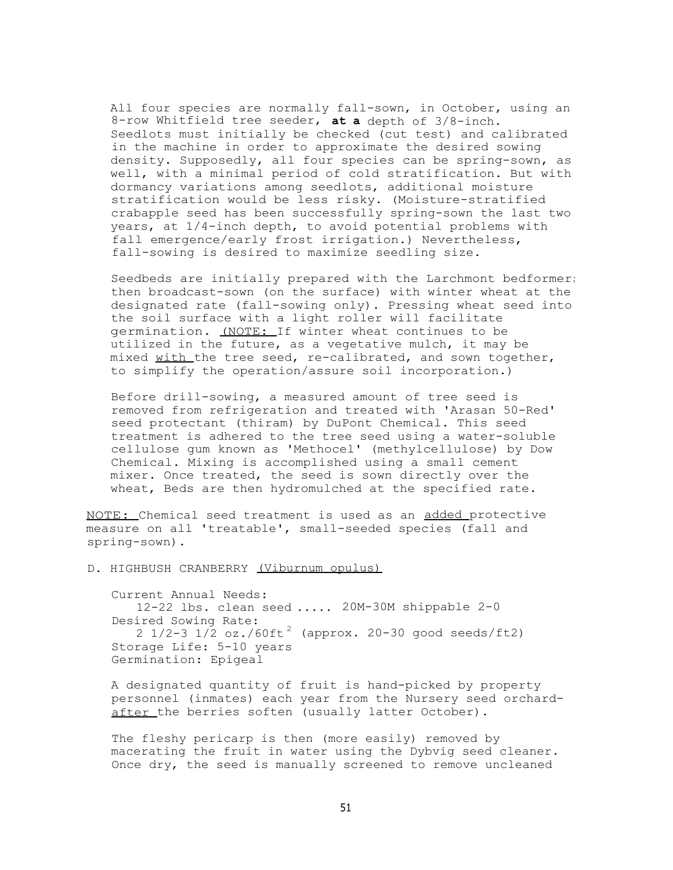All four species are normally fall-sown, in October, using an 8-row Whitfield tree seeder, **at a** depth of 3/8-inch. Seedlots must initially be checked (cut test) and calibrated in the machine in order to approximate the desired sowing density. Supposedly, all four species can be spring-sown, as well, with a minimal period of cold stratification. But with dormancy variations among seedlots, additional moisture stratification would be less risky. (Moisture-stratified crabapple seed has been successfully spring-sown the last two years, at 1/4-inch depth, to avoid potential problems with fall emergence/early frost irrigation.) Nevertheless, fall-sowing is desired to maximize seedling size.

Seedbeds are initially prepared with the Larchmont bedformer; then broadcast-sown (on the surface) with winter wheat at the designated rate (fall-sowing only). Pressing wheat seed into the soil surface with a light roller will facilitate germination. (NOTE: If winter wheat continues to be utilized in the future, as a vegetative mulch, it may be mixed with the tree seed, re-calibrated, and sown together, to simplify the operation/assure soil incorporation.)

Before drill-sowing, a measured amount of tree seed is removed from refrigeration and treated with 'Arasan 50-Red' seed protectant (thiram) by DuPont Chemical. This seed treatment is adhered to the tree seed using a water-soluble cellulose gum known as 'Methocel' (methylcellulose) by Dow Chemical. Mixing is accomplished using a small cement mixer. Once treated, the seed is sown directly over the wheat, Beds are then hydromulched at the specified rate.

NOTE: Chemical seed treatment is used as an added protective measure on all 'treatable', small-seeded species (fall and spring-sown).

D. HIGHBUSH CRANBERRY (Viburnum opulus)

Current Annual Needs: 12-22 lbs. clean seed ..... 20M-30M shippable 2-0 Desired Sowing Rate: 2  $1/2-3$   $1/2$   $oz./60ft^2$  (approx. 20-30 good seeds/ft2) Storage Life: 5-10 years Germination: Epigeal

A designated quantity of fruit is hand-picked by property personnel (inmates) each year from the Nursery seed orchardafter the berries soften (usually latter October).

The fleshy pericarp is then (more easily) removed by macerating the fruit in water using the Dybvig seed cleaner. Once dry, the seed is manually screened to remove uncleaned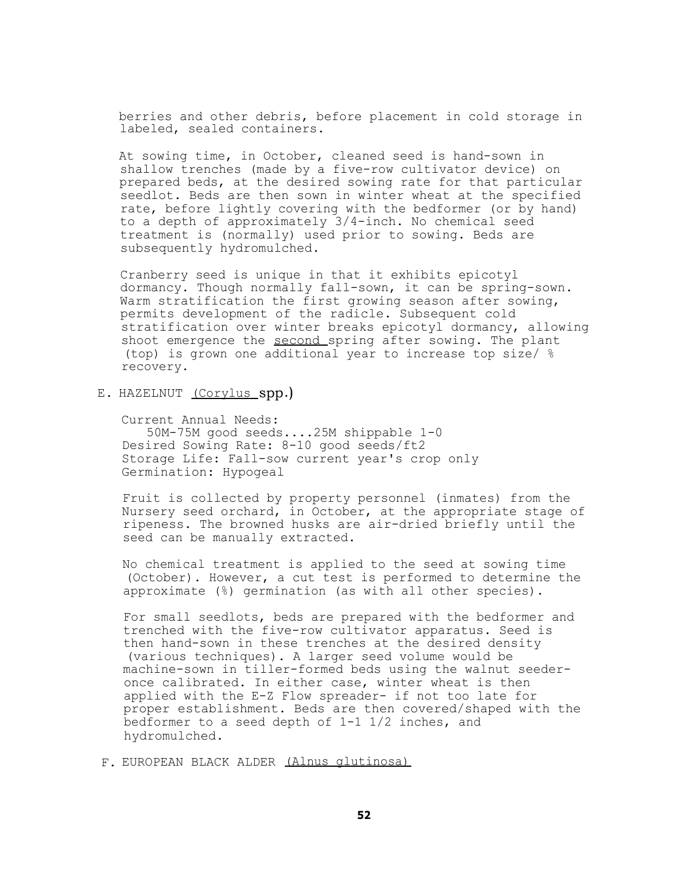berries and other debris, before placement in cold storage in labeled, sealed containers.

At sowing time, in October, cleaned seed is hand-sown in shallow trenches (made by a five-row cultivator device) on prepared beds, at the desired sowing rate for that particular seedlot. Beds are then sown in winter wheat at the specified rate, before lightly covering with the bedformer (or by hand) to a depth of approximately 3/4-inch. No chemical seed treatment is (normally) used prior to sowing. Beds are subsequently hydromulched.

Cranberry seed is unique in that it exhibits epicotyl dormancy. Though normally fall-sown, it can be spring-sown. Warm stratification the first growing season after sowing, permits development of the radicle. Subsequent cold stratification over winter breaks epicotyl dormancy, allowing shoot emergence the second spring after sowing. The plant (top) is grown one additional year to increase top size/ % recovery.

E. HAZELNUT (Corylus spp.)

Current Annual Needs: 50M-75M good seeds....25M shippable 1-0 Desired Sowing Rate: 8-10 good seeds/ft2 Storage Life: Fall-sow current year's crop only Germination: Hypogeal

Fruit is collected by property personnel (inmates) from the Nursery seed orchard, in October, at the appropriate stage of ripeness. The browned husks are air-dried briefly until the seed can be manually extracted.

No chemical treatment is applied to the seed at sowing time (October). However, a cut test is performed to determine the approximate (%) germination (as with all other species).

For small seedlots, beds are prepared with the bedformer and trenched with the five-row cultivator apparatus. Seed is then hand-sown in these trenches at the desired density (various techniques). A larger seed volume would be machine-sown in tiller-formed beds using the walnut seederonce calibrated. In either case, winter wheat is then applied with the E-Z Flow spreader- if not too late for proper establishment. Beds are then covered/shaped with the bedformer to a seed depth of 1-1 1/2 inches, and hydromulched.

F. EUROPEAN BLACK ALDER (Alnus glutinosa)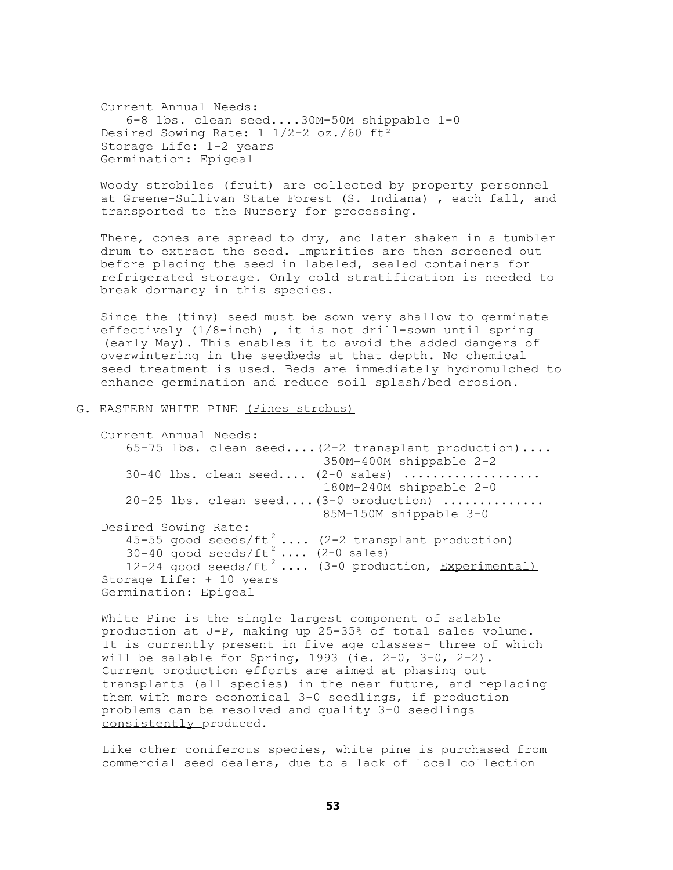Current Annual Needs: 6-8 lbs. clean seed....30M-50M shippable 1-0 Desired Sowing Rate: 1 1/2-2 oz./60 ft² Storage Life: 1-2 years Germination: Epigeal

Woody strobiles (fruit) are collected by property personnel at Greene-Sullivan State Forest (S. Indiana) , each fall, and transported to the Nursery for processing.

There, cones are spread to dry, and later shaken in a tumbler drum to extract the seed. Impurities are then screened out before placing the seed in labeled, sealed containers for refrigerated storage. Only cold stratification is needed to break dormancy in this species.

Since the (tiny) seed must be sown very shallow to germinate effectively (1/8-inch) , it is not drill-sown until spring (early May). This enables it to avoid the added dangers of overwintering in the seedbeds at that depth. No chemical seed treatment is used. Beds are immediately hydromulched to enhance germination and reduce soil splash/bed erosion.

#### G. EASTERN WHITE PINE (Pines strobus)

Current Annual Needs: 65-75 lbs. clean seed....(2-2 transplant production).... 350M-400M shippable 2-2  $30-40$  lbs. clean seed....  $(2-0 \text{ sales})$  ................... 180M-240M shippable 2-0  $20-25$  lbs. clean seed.... $(3-0 \text{ production})$  .............. 85M-150M shippable 3-0 Desired Sowing Rate: 45-55 good seeds/ft<sup>2</sup> .... (2-2 transplant production)  $30-40$  good seeds/ft<sup>2</sup> .... (2-0 sales)  $12-24$  good seeds/ft<sup>2</sup> .... (3-0 production, Experimental) Storage Life: + 10 years Germination: Epigeal

White Pine is the single largest component of salable production at J-P, making up 25-35% of total sales volume. It is currently present in five age classes- three of which will be salable for Spring,  $1993$  (ie.  $2-0$ ,  $3-0$ ,  $2-2$ ). Current production efforts are aimed at phasing out transplants (all species) in the near future, and replacing them with more economical 3-0 seedlings, if production problems can be resolved and quality 3-0 seedlings consistently produced.

Like other coniferous species, white pine is purchased from commercial seed dealers, due to a lack of local collection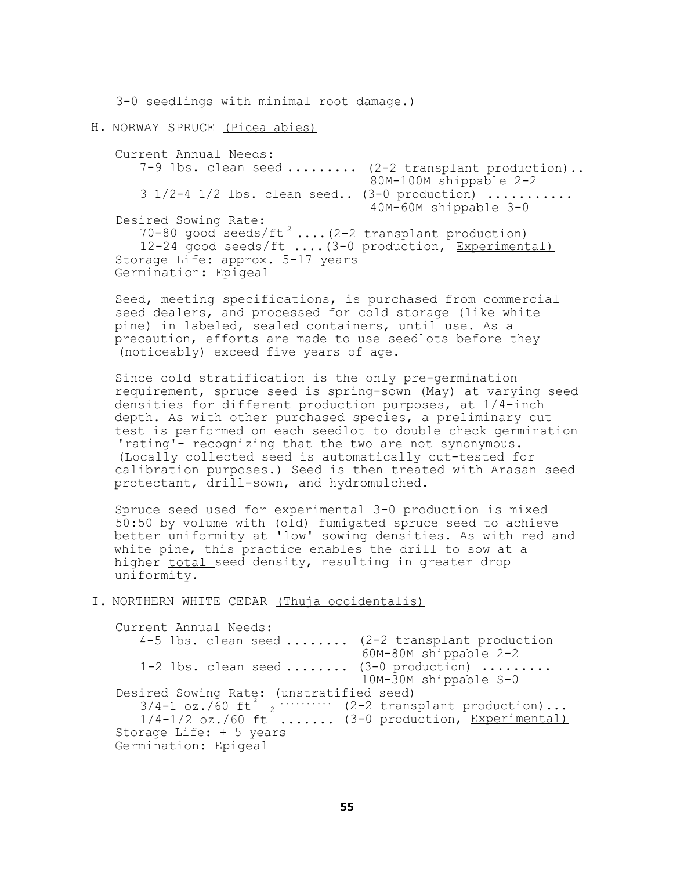3-0 seedlings with minimal root damage.)

H. NORWAY SPRUCE (Picea abies)

Current Annual Needs: 7-9 lbs. clean seed ........ (2-2 transplant production).. 80M-100M shippable 2-2  $3 \frac{1}{2}$ -4  $\frac{1}{2}$  lbs. clean seed..  $(3-0 \text{ production})$  .......... 40M-60M shippable 3-0 Desired Sowing Rate: 70-80 good seeds/ft<sup>2</sup> .... $(2-2$  transplant production) 12-24 good seeds/ft ....(3-0 production, Experimental) Storage Life: approx. 5-17 years Germination: Epigeal

Seed, meeting specifications, is purchased from commercial seed dealers, and processed for cold storage (like white pine) in labeled, sealed containers, until use. As a precaution, efforts are made to use seedlots before they (noticeably) exceed five years of age.

Since cold stratification is the only pre-germination requirement, spruce seed is spring-sown (May) at varying seed densities for different production purposes, at 1/4-inch depth. As with other purchased species, a preliminary cut test is performed on each seedlot to double check germination 'rating'- recognizing that the two are not synonymous. (Locally collected seed is automatically cut-tested for calibration purposes.) Seed is then treated with Arasan seed protectant, drill-sown, and hydromulched.

Spruce seed used for experimental 3-0 production is mixed 50:50 by volume with (old) fumigated spruce seed to achieve better uniformity at 'low' sowing densities. As with red and white pine, this practice enables the drill to sow at a higher total seed density, resulting in greater drop uniformity.

I. NORTHERN WHITE CEDAR (Thuja occidentalis)

Current Annual Needs: 4-5 lbs. clean seed ........ (2-2 transplant production 60M-80M shippable 2-2  $1-2$  lbs. clean seed ........  $(3-0 \text{ production})$  ........ 10M-30M shippable S-0 Desired Sowing Rate: (unstratified seed)  $4-5$  lbs. clean seed .......<br>1-2 lbs. clean seed .......<br>ired Sowing Rate: (unstrati<br> $3/4-1$  oz./60 ft $3/4-1/2$  oz./60 ft $3/4-1/2$  oz./60 ft $3/4-1/2$  oz./60 ft $3/4-1/2$  oz./60 ft $3/4-1/2$  oz./60 ft $3/4-1/2$  oz./60 ft $3/4$ (2-2 transplant production)...  $1/4-1/2$  oz./60 ft .......  $(3-0 \text{ production}, \text{Experimental})$ Storage Life: + 5 years Germination: Epigeal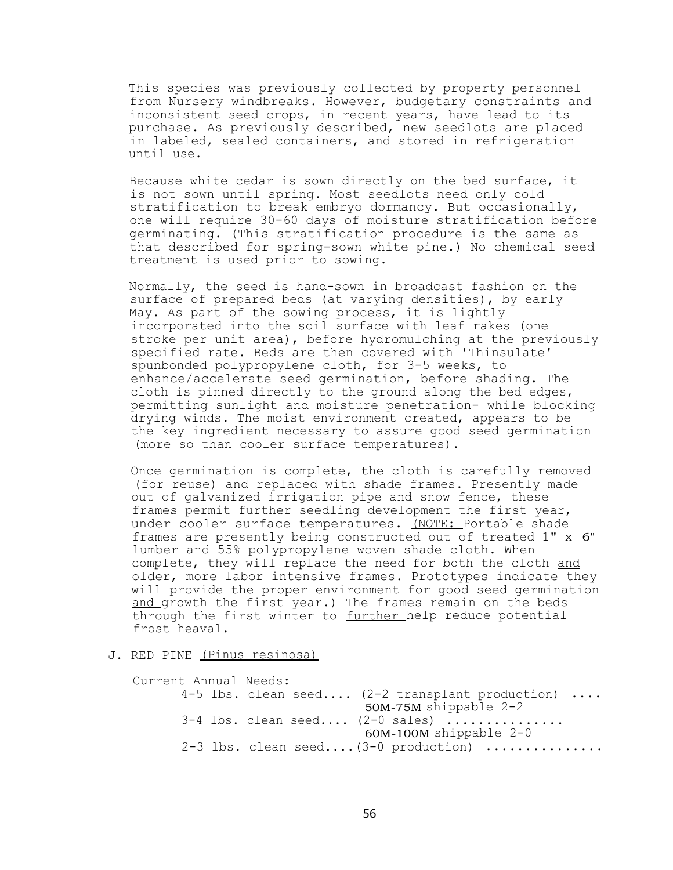This species was previously collected by property personnel from Nursery windbreaks. However, budgetary constraints and inconsistent seed crops, in recent years, have lead to its purchase. As previously described, new seedlots are placed in labeled, sealed containers, and stored in refrigeration until use.

Because white cedar is sown directly on the bed surface, it is not sown until spring. Most seedlots need only cold stratification to break embryo dormancy. But occasionally, one will require 30-60 days of moisture stratification before germinating. (This stratification procedure is the same as that described for spring-sown white pine.) No chemical seed treatment is used prior to sowing.

Normally, the seed is hand-sown in broadcast fashion on the surface of prepared beds (at varying densities), by early May. As part of the sowing process, it is lightly incorporated into the soil surface with leaf rakes (one stroke per unit area), before hydromulching at the previously specified rate. Beds are then covered with 'Thinsulate' spunbonded polypropylene cloth, for 3-5 weeks, to enhance/accelerate seed germination, before shading. The cloth is pinned directly to the ground along the bed edges, permitting sunlight and moisture penetration- while blocking drying winds. The moist environment created, appears to be the key ingredient necessary to assure good seed germination (more so than cooler surface temperatures).

Once germination is complete, the cloth is carefully removed (for reuse) and replaced with shade frames. Presently made out of galvanized irrigation pipe and snow fence, these frames permit further seedling development the first year, under cooler surface temperatures. (NOTE: Portable shade frames are presently being constructed out of treated 1" x 6" lumber and 55% polypropylene woven shade cloth. When complete, they will replace the need for both the cloth and older, more labor intensive frames. Prototypes indicate they will provide the proper environment for good seed germination and growth the first year.) The frames remain on the beds through the first winter to further help reduce potential frost heaval.

# J. RED PINE (Pinus resinosa)

Current Annual Needs: 4-5 lbs. clean seed.... (2-2 transplant production) .... 50M-75M shippable 2-2  $3-4$  lbs. clean seed....  $(2-0 \text{ sales})$  ............... 60M-100M shippable 2-0 2-3 lbs. clean seed.... $(3-0 \text{ production})$  ..............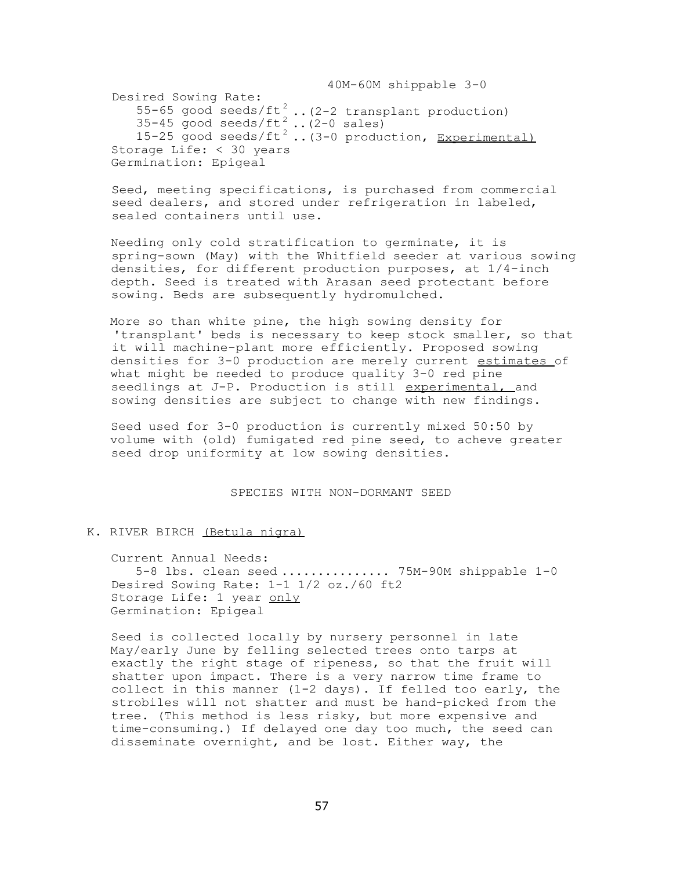40M-60M shippable 3-0 Desired Sowing Rate: 55-65 good seeds/ft<sup>2</sup> .. (2-2 transplant production)  $35-45$  good seeds/ft<sup>2</sup> ..(2-0 sales) 15-25 good seeds/ft<sup>2</sup>..(3-0 production, Experimental) Storage Life: < 30 years Germination: Epigeal

Seed, meeting specifications, is purchased from commercial seed dealers, and stored under refrigeration in labeled, sealed containers until use.

Needing only cold stratification to germinate, it is spring-sown (May) with the Whitfield seeder at various sowing densities, for different production purposes, at 1/4-inch depth. Seed is treated with Arasan seed protectant before sowing. Beds are subsequently hydromulched.

More so than white pine, the high sowing density for 'transplant' beds is necessary to keep stock smaller, so that it will machine-plant more efficiently. Proposed sowing densities for 3-0 production are merely current estimates of what might be needed to produce quality 3-0 red pine seedlings at J-P. Production is still experimental, and sowing densities are subject to change with new findings.

Seed used for 3-0 production is currently mixed 50:50 by volume with (old) fumigated red pine seed, to acheve greater seed drop uniformity at low sowing densities.

SPECIES WITH NON-DORMANT SEED

## K. RIVER BIRCH (Betula nigra)

Current Annual Needs:

5-8 lbs. clean seed ............... 75M-90M shippable 1-0 Desired Sowing Rate: 1-1 1/2 oz./60 ft2 Storage Life: 1 year only Germination: Epigeal

Seed is collected locally by nursery personnel in late May/early June by felling selected trees onto tarps at exactly the right stage of ripeness, so that the fruit will shatter upon impact. There is a very narrow time frame to collect in this manner (1-2 days). If felled too early, the strobiles will not shatter and must be hand-picked from the tree. (This method is less risky, but more expensive and time-consuming.) If delayed one day too much, the seed can disseminate overnight, and be lost. Either way, the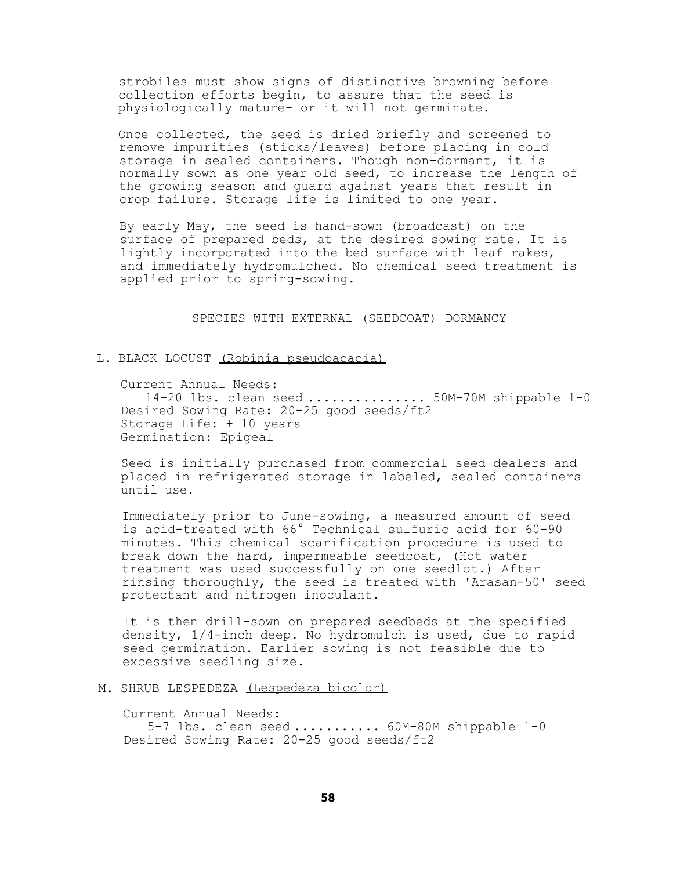strobiles must show signs of distinctive browning before collection efforts begin, to assure that the seed is physiologically mature- or it will not germinate.

Once collected, the seed is dried briefly and screened to remove impurities (sticks/leaves) before placing in cold storage in sealed containers. Though non-dormant, it is normally sown as one year old seed, to increase the length of the growing season and guard against years that result in crop failure. Storage life is limited to one year.

By early May, the seed is hand-sown (broadcast) on the surface of prepared beds, at the desired sowing rate. It is lightly incorporated into the bed surface with leaf rakes, and immediately hydromulched. No chemical seed treatment is applied prior to spring-sowing.

SPECIES WITH EXTERNAL (SEEDCOAT) DORMANCY

# L. BLACK LOCUST (Robinia pseudoacacia)

Current Annual Needs: 14-20 lbs. clean seed ............... 50M-70M shippable 1-0 Desired Sowing Rate: 20-25 good seeds/ft2 Storage Life: + 10 years Germination: Epigeal

Seed is initially purchased from commercial seed dealers and placed in refrigerated storage in labeled, sealed containers until use.

Immediately prior to June-sowing, a measured amount of seed is acid-treated with 66° Technical sulfuric acid for 60-90 minutes. This chemical scarification procedure is used to break down the hard, impermeable seedcoat, (Hot water treatment was used successfully on one seedlot.) After rinsing thoroughly, the seed is treated with 'Arasan-50' seed protectant and nitrogen inoculant.

It is then drill-sown on prepared seedbeds at the specified density, 1/4-inch deep. No hydromulch is used, due to rapid seed germination. Earlier sowing is not feasible due to excessive seedling size.

## M. SHRUB LESPEDEZA (Lespedeza bicolor)

Current Annual Needs: 5-7 lbs. clean seed ........... 60M-80M shippable 1-0 Desired Sowing Rate: 20-25 good seeds/ft2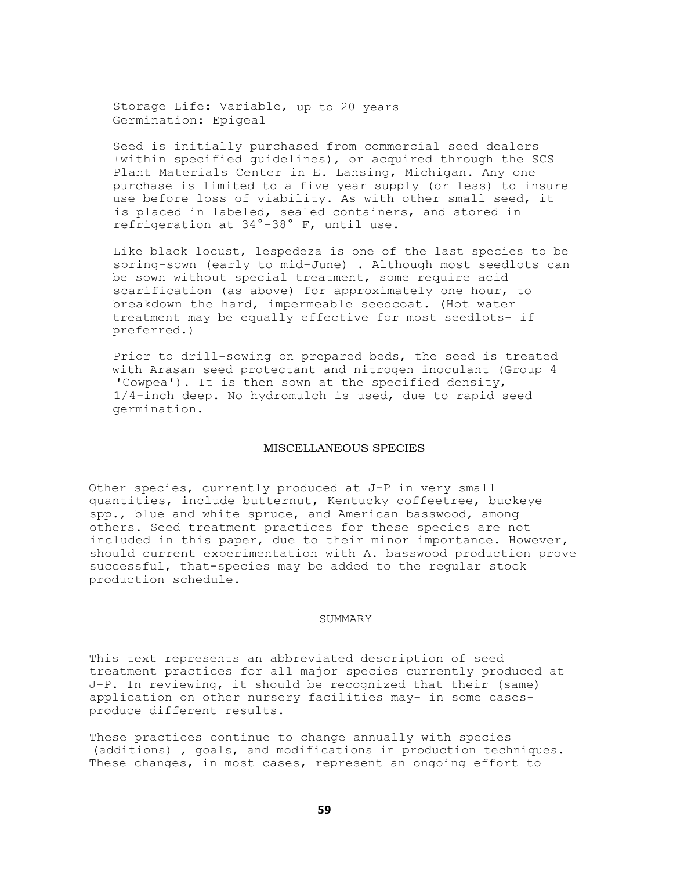Storage Life: Variable, up to 20 years Germination: Epigeal

Seed is initially purchased from commercial seed dealers ( within specified guidelines), or acquired through the SCS Plant Materials Center in E. Lansing, Michigan. Any one purchase is limited to a five year supply (or less) to insure use before loss of viability. As with other small seed, it is placed in labeled, sealed containers, and stored in refrigeration at 34°-38° F, until use.

Like black locust, lespedeza is one of the last species to be spring-sown (early to mid-June) . Although most seedlots can be sown without special treatment, some require acid scarification (as above) for approximately one hour, to breakdown the hard, impermeable seedcoat. (Hot water treatment may be equally effective for most seedlots- if preferred.)

Prior to drill-sowing on prepared beds, the seed is treated with Arasan seed protectant and nitrogen inoculant (Group 4 'Cowpea'). It is then sown at the specified density, 1/4-inch deep. No hydromulch is used, due to rapid seed germination.

## MISCELLANEOUS SPECIES

Other species, currently produced at J-P in very small quantities, include butternut, Kentucky coffeetree, buckeye spp., blue and white spruce, and American basswood, among others. Seed treatment practices for these species are not included in this paper, due to their minor importance. However, should current experimentation with A. basswood production prove successful, that-species may be added to the regular stock production schedule.

## **SUMMARY**

This text represents an abbreviated description of seed treatment practices for all major species currently produced at J-P. In reviewing, it should be recognized that their (same) application on other nursery facilities may- in some casesproduce different results.

These practices continue to change annually with species (additions) , goals, and modifications in production techniques. These changes, in most cases, represent an ongoing effort to